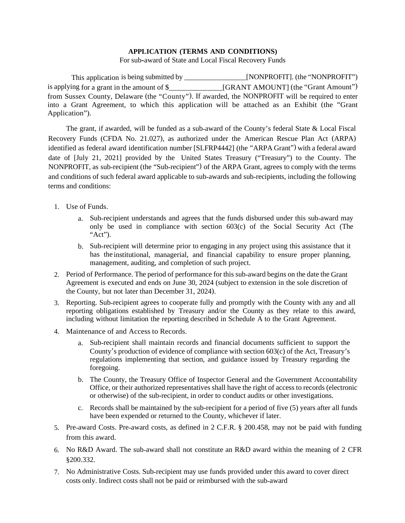## **APPLICATION (TERMS AND CONDITIONS)**

For sub-award of State and Local Fiscal Recovery Funds

This application is being submitted by \_\_\_\_\_\_\_\_\_\_\_\_\_\_\_\_\_[NONPROFIT]. (the "NONPROFIT") is applying for a grant in the amount of \$\_\_\_\_\_\_\_\_\_\_\_\_\_\_[GRANT AMOUNT] (the "Grant Amount") from Sussex County, Delaware (the "County"). If awarded, the NONPROFIT will be required to enter into a Grant Agreement, to which this application will be attached as an Exhibit (the "Grant Application").

The grant, if awarded, will be funded as a sub-award of the County's federal State & Local Fiscal Recovery Funds (CFDA No. 21.027), as authorized under the American Rescue Plan Act (ARPA) identified as federal award identification number [SLFRP4442] (the "ARPA Grant") with a federal award date of [July 21, 2021] provided by the United States Treasury ("Treasury") to the County. The NONPROFIT, as sub-recipient (the "Sub-recipient") of the ARPA Grant, agrees to comply with the terms and conditions of such federal award applicable to sub-awards and sub-recipients, including the following terms and conditions:

- 1. Use of Funds.
	- a. Sub-recipient understands and agrees that the funds disbursed under this sub-award may only be used in compliance with section 603(c) of the Social Security Act (The "Act").
	- b. Sub-recipient will determine prior to engaging in any project using this assistance that it has the institutional, managerial, and financial capability to ensure proper planning, management, auditing, and completion of such project.
- 2. Period of Performance. The period of performance for this sub-award begins on the date the Grant Agreement is executed and ends on June 30, 2024 (subject to extension in the sole discretion of the County, but not later than December 31, 2024).
- 3. Reporting. Sub-recipient agrees to cooperate fully and promptly with the County with any and all reporting obligations established by Treasury and/or the County as they relate to this award, including without limitation the reporting described in Schedule A to the Grant Agreement.
- 4. Maintenance of and Access to Records.
	- a. Sub-recipient shall maintain records and financial documents sufficient to support the County's production of evidence of compliance with section 603(c) of the Act, Treasury's regulations implementing that section, and guidance issued by Treasury regarding the foregoing.
	- b. The County, the Treasury Office of Inspector General and the Government Accountability Office, or their authorized representatives shall have the right of access to records (electronic or otherwise) of the sub-recipient, in order to conduct audits or other investigations.
	- c. Records shall be maintained by the sub-recipient for a period of five (5) years after all funds have been expended or returned to the County, whichever if later.
- 5. Pre-award Costs. Pre-award costs, as defined in 2 C.F.R. § 200.458, may not be paid with funding from this award.
- 6. No R&D Award. The sub-award shall not constitute an R&D award within the meaning of 2 CFR §200.332.
- 7. No Administrative Costs. Sub-recipient may use funds provided under this award to cover direct costs only. Indirect costs shall not be paid or reimbursed with the sub-award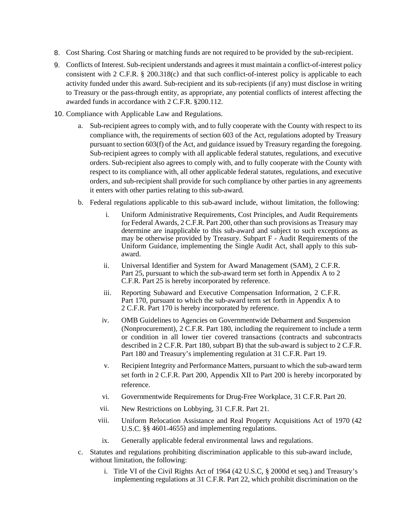- 8. Cost Sharing. Cost Sharing or matching funds are not required to be provided by the sub-recipient.
- 9. Conflicts of Interest. Sub-recipient understands and agrees it must maintain a conflict-of-interest policy consistent with 2 C.F.R. § 200.318(c) and that such conflict-of-interest policy is applicable to each activity funded under this award. Sub-recipient and its sub-recipients (if any) must disclose in writing to Treasury or the pass-through entity, as appropriate, any potential conflicts of interest affecting the awarded funds in accordance with 2 C.F.R. §200.112.
- 10. Compliance with Applicable Law and Regulations.
	- a. Sub-recipient agrees to comply with, and to fully cooperate with the County with respect to its compliance with, the requirements of section 603 of the Act, regulations adopted by Treasury pursuant to section 603(f) of the Act, and guidance issued by Treasury regarding the foregoing. Sub-recipient agrees to comply with all applicable federal statutes, regulations, and executive orders. Sub-recipient also agrees to comply with, and to fully cooperate with the County with respect to its compliance with, all other applicable federal statutes, regulations, and executive orders, and sub-recipient shall provide for such compliance by other parties in any agreements it enters with other parties relating to this sub-award.
	- b. Federal regulations applicable to this sub-award include, without limitation, the following:
		- i. Uniform Administrative Requirements, Cost Principles, and Audit Requirements for Federal Awards, 2 C.F.R. Part 200, other than such provisions as Treasury may determine are inapplicable to this sub-award and subject to such exceptions as may be otherwise provided by Treasury. Subpart F - Audit Requirements of the Uniform Guidance, implementing the Single Audit Act, shall apply to this subaward.
		- ii. Universal Identifier and System for Award Management (SAM), 2 C.F.R. Part 25, pursuant to which the sub-award term set forth in Appendix A to 2 C.F.R. Part 25 is hereby incorporated by reference.
		- iii. Reporting Subaward and Executive Compensation Information, 2 C.F.R. Part 170, pursuant to which the sub-award term set forth in Appendix A to 2 C.F.R. Part 170 is hereby incorporated by reference.
		- iv. OMB Guidelines to Agencies on Governmentwide Debarment and Suspension (Nonprocurement), 2 C.F.R. Part 180, including the requirement to include a term or condition in all lower tier covered transactions (contracts and subcontracts described in 2 C.F.R. Part 180, subpart B) that the sub-award is subject to 2 C.F.R. Part 180 and Treasury's implementing regulation at 31 C.F.R. Part 19.
		- v. Recipient Integrity and Performance Matters, pursuant to which the sub-award term set forth in 2 C.F.R. Part 200, Appendix XII to Part 200 is hereby incorporated by reference.
		- vi. Governmentwide Requirements for Drug-Free Workplace, 31 C.F.R. Part 20.
		- vii. New Restrictions on Lobbying, 31 C.F.R. Part 21.
		- viii. Uniform Relocation Assistance and Real Property Acquisitions Act of 1970 (42 U.S.C. §§ 4601-4655) and implementing regulations.
		- ix. Generally applicable federal environmental laws and regulations.
	- c. Statutes and regulations prohibiting discrimination applicable to this sub-award include, without limitation, the following:
		- i. Title VI of the Civil Rights Act of 1964 (42 U.S.C, § 2000d et seq.) and Treasury's implementing regulations at 31 C.F.R. Part 22, which prohibit discrimination on the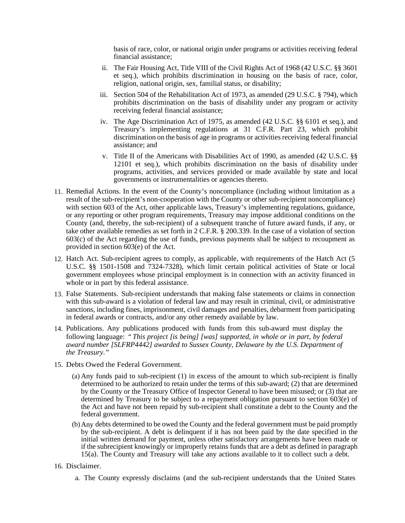basis of race, color, or national origin under programs or activities receiving federal financial assistance;

- ii. The Fair Housing Act, Title VIII of the Civil Rights Act of 1968 (42 U.S.C. §§ 3601 et seq.), which prohibits discrimination in housing on the basis of race, color, religion, national origin, sex, familial status, or disability;
- iii. Section 504 of the Rehabilitation Act of 1973, as amended (29 U.S.C. § 794), which prohibits discrimination on the basis of disability under any program or activity receiving federal financial assistance;
- iv. The Age Discrimination Act of 1975, as amended (42 U.S.C. §§ 6101 et seq.), and Treasury's implementing regulations at 31 C.F.R. Part 23, which prohibit discrimination on the basis of age in programs or activities receiving federal financial assistance; and
- v. Title II of the Americans with Disabilities Act of 1990, as amended (42 U.S.C. §§ 12101 et seq.), which prohibits discrimination on the basis of disability under programs, activities, and services provided or made available by state and local governments or instrumentalities or agencies thereto.
- 11. Remedial Actions. In the event of the County's noncompliance (including without limitation as a result of the sub-recipient's non-cooperation with the County or other sub-recipient noncompliance) with section 603 of the Act, other applicable laws, Treasury's implementing regulations, guidance, or any reporting or other program requirements, Treasury may impose additional conditions on the County (and, thereby, the sub-recipient) of a subsequent tranche of future award funds, if any, or take other available remedies as set forth in 2 C.F.R. § 200.339. In the case of a violation of section 603(c) of the Act regarding the use of funds, previous payments shall be subject to recoupment as provided in section 603(e) of the Act.
- 12. Hatch Act. Sub-recipient agrees to comply, as applicable, with requirements of the Hatch Act (5 U.S.C. §§ 1501-1508 and 7324-7328), which limit certain political activities of State or local government employees whose principal employment is in connection with an activity financed in whole or in part by this federal assistance.
- 13. False Statements. Sub-recipient understands that making false statements or claims in connection with this sub-award is a violation of federal law and may result in criminal, civil, or administrative sanctions, including fines, imprisonment, civil damages and penalties, debarment from participating in federal awards or contracts, and/or any other remedy available by law.
- 14. Publications. Any publications produced with funds from this sub-award must display the following language: *" This project [is being] [was] supported, in whole or in part, by federal award number [SLFRP4442] awarded to Sussex County, Delaware by the U.S. Department of the Treasury."*
- 15. Debts Owed the Federal Government.
	- (a) Any funds paid to sub-recipient (1) in excess of the amount to which sub-recipient is finally determined to be authorized to retain under the terms of this sub-award; (2) that are determined by the County or the Treasury Office of Inspector General to have been misused; or (3) that are determined by Treasury to be subject to a repayment obligation pursuant to section 603(e) of the Act and have not been repaid by sub-recipient shall constitute a debt to the County and the federal government.
	- (b)Any debts determined to be owed the County and the federal government must be paid promptly by the sub-recipient. A debt is delinquent if it has not been paid by the date specified in the initial written demand for payment, unless other satisfactory arrangements have been made or if the subrecipient knowingly or improperly retains funds that are a debt as defined in paragraph 15(a). The County and Treasury will take any actions available to it to collect such a debt.
- 16. Disclaimer.
	- a. The County expressly disclaims (and the sub-recipient understands that the United States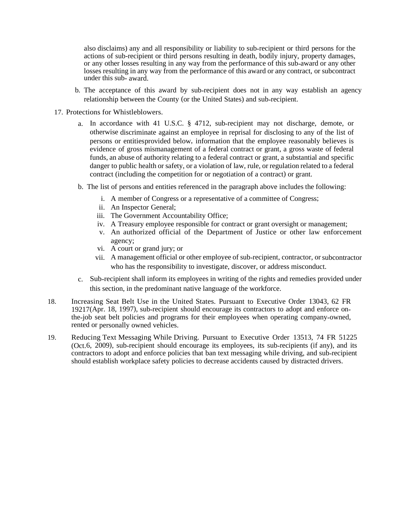also disclaims) any and all responsibility or liability to sub-recipient or third persons for the actions of sub-recipient or third persons resulting in death, bodily injury, property damages, or any other losses resulting in any way from the performance of this sub-award or any other losses resulting in any way from the performance of this award or any contract, or subcontract under this sub- award.

- b. The acceptance of this award by sub-recipient does not in any way establish an agency relationship between the County (or the United States) and sub-recipient.
- 17. Protections for Whistleblowers.
	- a. In accordance with 41 U.S.C. § 4712, sub-recipient may not discharge, demote, or otherwise discriminate against an employee in reprisal for disclosing to any of the list of persons or entities provided below, information that the employee reasonably believes is evidence of gross mismanagement of a federal contract or grant, a gross waste of federal funds, an abuse of authority relating to a federal contract or grant, a substantial and specific danger to public health or safety, or a violation of law, rule, or regulation related to a federal contract (including the competition for or negotiation of a contract) or grant.
	- b. The list of persons and entities referenced in the paragraph above includes the following:
		- i. A member of Congress or a representative of a committee of Congress;
		- ii. An Inspector General;
		- iii. The Government Accountability Office;
		- iv. A Treasury employee responsible for contract or grant oversight or management;
		- v. An authorized official of the Department of Justice or other law enforcement agency;
		- vi. A court or grand jury; or
		- vii. A management official or other employee of sub-recipient, contractor, or subcontractor who has the responsibility to investigate, discover, or address misconduct.
	- c. Sub-recipient shall inform its employees in writing of the rights and remedies provided under this section, in the predominant native language of the workforce.
- 18. Increasing Seat Belt Use in the United States. Pursuant to Executive Order 13043, 62 FR 19217 (Apr. 18, 1997), sub-recipient should encourage its contractors to adopt and enforce onthe-job seat belt policies and programs for their employees when operating company-owned, rented or personally owned vehicles.
- 19. Reducing Text Messaging While Driving. Pursuant to Executive Order 13513, 74 FR 51225 (Oct.6, 2009), sub-recipient should encourage its employees, its sub-recipients (if any), and its contractors to adopt and enforce policies that ban text messaging while driving, and sub-recipient should establish workplace safety policies to decrease accidents caused by distracted drivers.